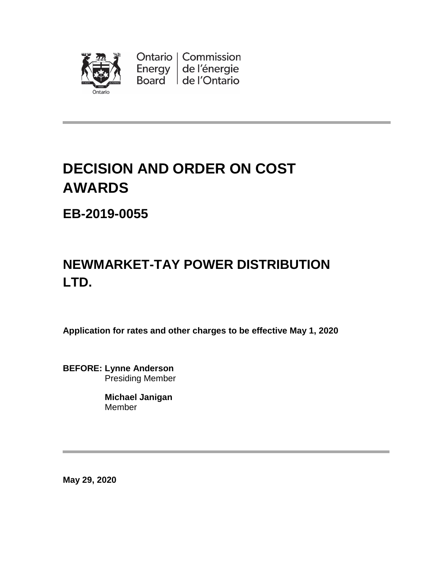

# **DECISION AND ORDER ON COST AWARDS**

**EB-2019-0055**

# **NEWMARKET-TAY POWER DISTRIBUTION LTD.**

**Application for rates and other charges to be effective May 1, 2020**

**BEFORE: Lynne Anderson** Presiding Member

> **Michael Janigan** Member

**May 29, 2020**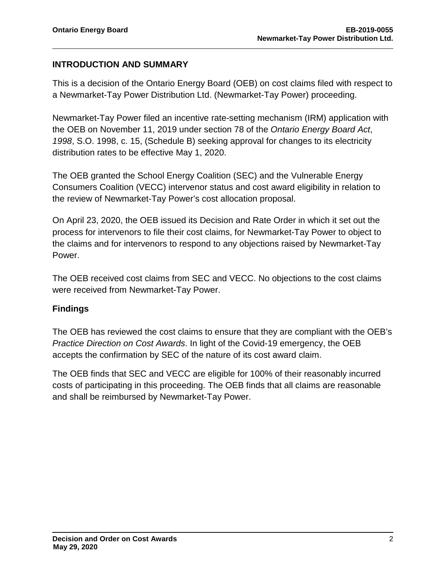### **INTRODUCTION AND SUMMARY**

This is a decision of the Ontario Energy Board (OEB) on cost claims filed with respect to a Newmarket-Tay Power Distribution Ltd. (Newmarket-Tay Power) proceeding.

Newmarket-Tay Power filed an incentive rate-setting mechanism (IRM) application with the OEB on November 11, 2019 under section 78 of the *Ontario Energy Board Act*, *1998*, S.O. 1998, c. 15, (Schedule B) seeking approval for changes to its electricity distribution rates to be effective May 1, 2020.

The OEB granted the School Energy Coalition (SEC) and the Vulnerable Energy Consumers Coalition (VECC) intervenor status and cost award eligibility in relation to the review of Newmarket-Tay Power's cost allocation proposal.

On April 23, 2020, the OEB issued its Decision and Rate Order in which it set out the process for intervenors to file their cost claims, for Newmarket-Tay Power to object to the claims and for intervenors to respond to any objections raised by Newmarket-Tay Power.

The OEB received cost claims from SEC and VECC. No objections to the cost claims were received from Newmarket-Tay Power.

#### **Findings**

The OEB has reviewed the cost claims to ensure that they are compliant with the OEB's *Practice Direction on Cost Awards*. In light of the Covid-19 emergency, the OEB accepts the confirmation by SEC of the nature of its cost award claim.

The OEB finds that SEC and VECC are eligible for 100% of their reasonably incurred costs of participating in this proceeding. The OEB finds that all claims are reasonable and shall be reimbursed by Newmarket-Tay Power.